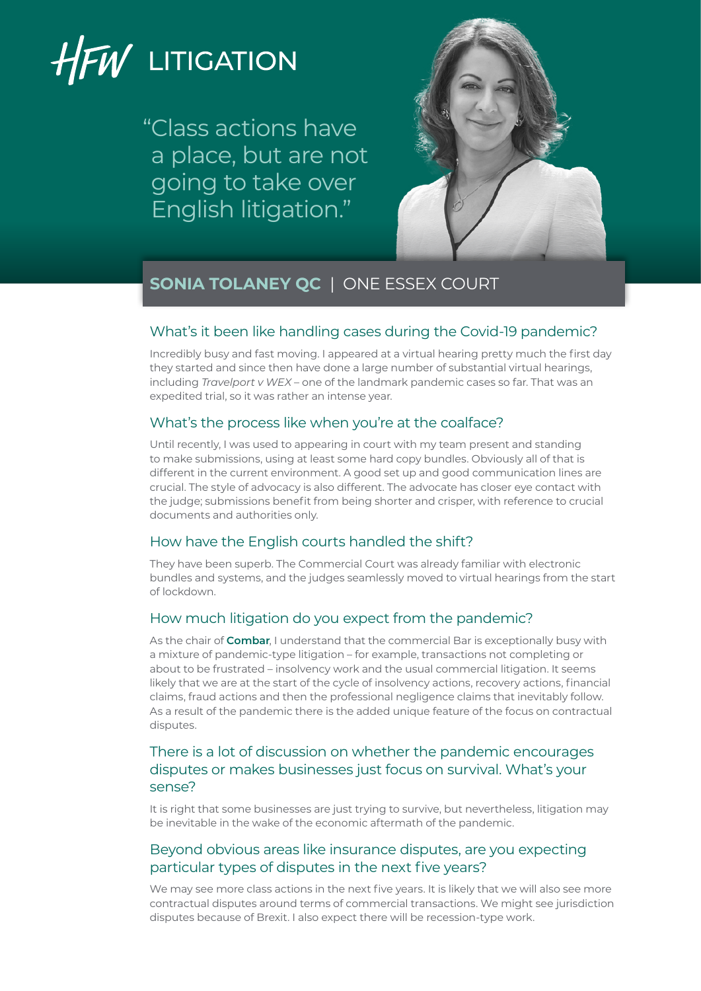# HFW LITIGATION

"Class actions have a place, but are not going to take over English litigation."



## **SONIA TOLANEY QC** | ONE ESSEX COURT

### What's it been like handling cases during the Covid-19 pandemic?

Incredibly busy and fast moving. I appeared at a virtual hearing pretty much the first day they started and since then have done a large number of substantial virtual hearings, including *Travelport v WEX* – one of the landmark pandemic cases so far. That was an expedited trial, so it was rather an intense year.

## What's the process like when you're at the coalface?

Until recently, I was used to appearing in court with my team present and standing to make submissions, using at least some hard copy bundles. Obviously all of that is different in the current environment. A good set up and good communication lines are crucial. The style of advocacy is also different. The advocate has closer eye contact with the judge; submissions benefit from being shorter and crisper, with reference to crucial documents and authorities only.

## How have the English courts handled the shift?

They have been superb. The Commercial Court was already familiar with electronic bundles and systems, and the judges seamlessly moved to virtual hearings from the start of lockdown.

## How much litigation do you expect from the pandemic?

As the chair of **[Combar](https://www.combar.com)**, I understand that the commercial Bar is exceptionally busy with a mixture of pandemic-type litigation – for example, transactions not completing or about to be frustrated – insolvency work and the usual commercial litigation. It seems likely that we are at the start of the cycle of insolvency actions, recovery actions, financial claims, fraud actions and then the professional negligence claims that inevitably follow. As a result of the pandemic there is the added unique feature of the focus on contractual disputes.

## There is a lot of discussion on whether the pandemic encourages disputes or makes businesses just focus on survival. What's your sense?

It is right that some businesses are just trying to survive, but nevertheless, litigation may be inevitable in the wake of the economic aftermath of the pandemic.

## Beyond obvious areas like insurance disputes, are you expecting particular types of disputes in the next five years?

We may see more class actions in the next five years. It is likely that we will also see more contractual disputes around terms of commercial transactions. We might see jurisdiction disputes because of Brexit. I also expect there will be recession-type work.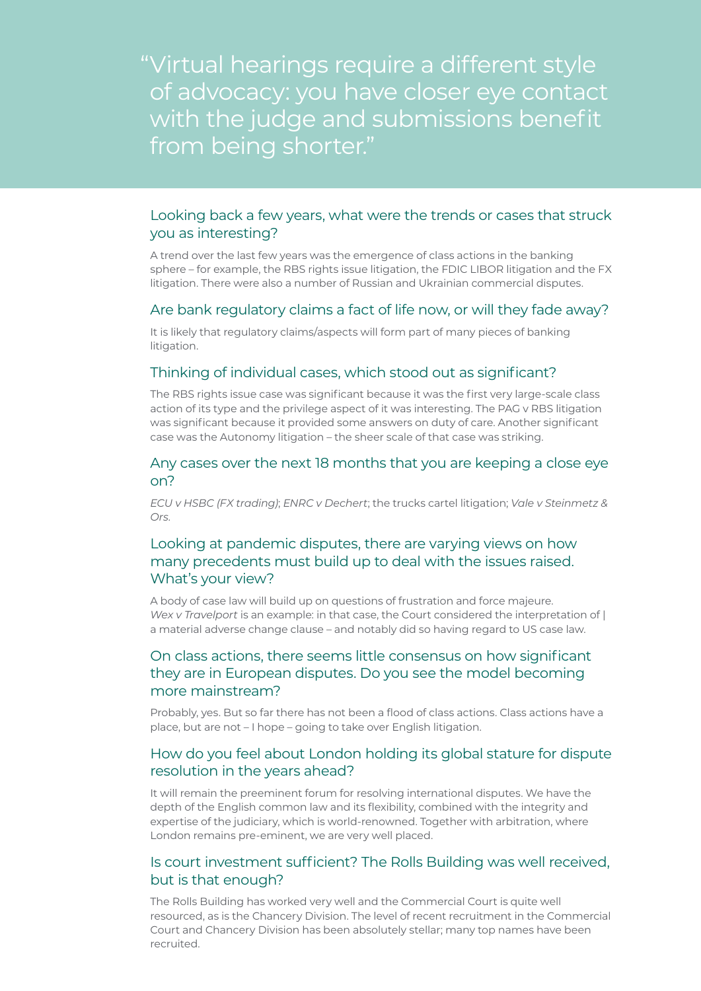"Virtual hearings require a different style of advocacy: you have closer eye contact with the judge and submissions benefit from being shorter."

#### Looking back a few years, what were the trends or cases that struck you as interesting?

A trend over the last few years was the emergence of class actions in the banking sphere – for example, the RBS rights issue litigation, the FDIC LIBOR litigation and the FX litigation. There were also a number of Russian and Ukrainian commercial disputes.

#### Are bank regulatory claims a fact of life now, or will they fade away?

It is likely that regulatory claims/aspects will form part of many pieces of banking litigation.

#### Thinking of individual cases, which stood out as significant?

The RBS rights issue case was significant because it was the first very large-scale class action of its type and the privilege aspect of it was interesting. The PAG v RBS litigation was significant because it provided some answers on duty of care. Another significant case was the Autonomy litigation – the sheer scale of that case was striking.

#### Any cases over the next 18 months that you are keeping a close eye on?

*ECU v HSBC (FX trading)*; *ENRC v Dechert*; the trucks cartel litigation; *Vale v Steinmetz & Ors.*

## Looking at pandemic disputes, there are varying views on how many precedents must build up to deal with the issues raised. What's your view?

A body of case law will build up on questions of frustration and force majeure. *Wex v Travelport* is an example: in that case, the Court considered the interpretation of | a material adverse change clause – and notably did so having regard to US case law.

## On class actions, there seems little consensus on how significant they are in European disputes. Do you see the model becoming more mainstream?

Probably, yes. But so far there has not been a flood of class actions. Class actions have a place, but are not – I hope – going to take over English litigation.

#### How do you feel about London holding its global stature for dispute resolution in the years ahead?

It will remain the preeminent forum for resolving international disputes. We have the depth of the English common law and its flexibility, combined with the integrity and expertise of the judiciary, which is world-renowned. Together with arbitration, where London remains pre-eminent, we are very well placed.

#### Is court investment sufficient? The Rolls Building was well received, but is that enough?

The Rolls Building has worked very well and the Commercial Court is quite well resourced, as is the Chancery Division. The level of recent recruitment in the Commercial Court and Chancery Division has been absolutely stellar; many top names have been recruited.